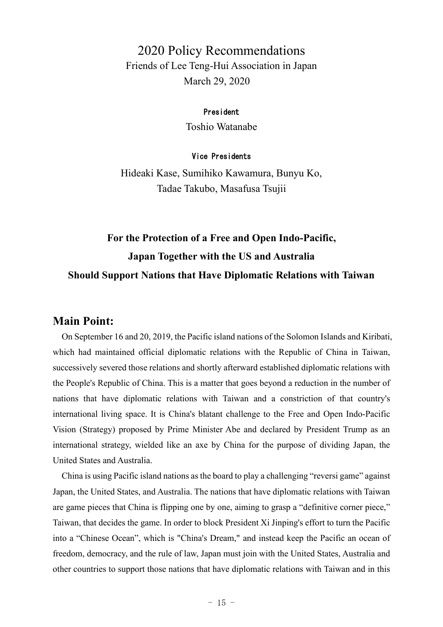## 2020 Policy Recommendations Friends of Lee Teng-Hui Association in Japan March 29, 2020

#### President

Toshio Watanabe

#### Vice Presidents

Hideaki Kase, Sumihiko Kawamura, Bunyu Ko, Tadae Takubo, Masafusa Tsujii

# **For the Protection of a Free and Open Indo-Pacific, Japan Together with the US and Australia Should Support Nations that Have Diplomatic Relations with Taiwan**

### **Main Point:**

On September 16 and 20, 2019, the Pacific island nations of the Solomon Islands and Kiribati, which had maintained official diplomatic relations with the Republic of China in Taiwan, successively severed those relations and shortly afterward established diplomatic relations with the People's Republic of China. This is a matter that goes beyond a reduction in the number of nations that have diplomatic relations with Taiwan and a constriction of that country's international living space. It is China's blatant challenge to the Free and Open Indo-Pacific Vision (Strategy) proposed by Prime Minister Abe and declared by President Trump as an international strategy, wielded like an axe by China for the purpose of dividing Japan, the United States and Australia.

China is using Pacific island nations as the board to play a challenging "reversi game" against Japan, the United States, and Australia. The nations that have diplomatic relations with Taiwan are game pieces that China is flipping one by one, aiming to grasp a "definitive corner piece," Taiwan, that decides the game. In order to block President Xi Jinping's effort to turn the Pacific into a "Chinese Ocean", which is "China's Dream," and instead keep the Pacific an ocean of freedom, democracy, and the rule of law, Japan must join with the United States, Australia and other countries to support those nations that have diplomatic relations with Taiwan and in this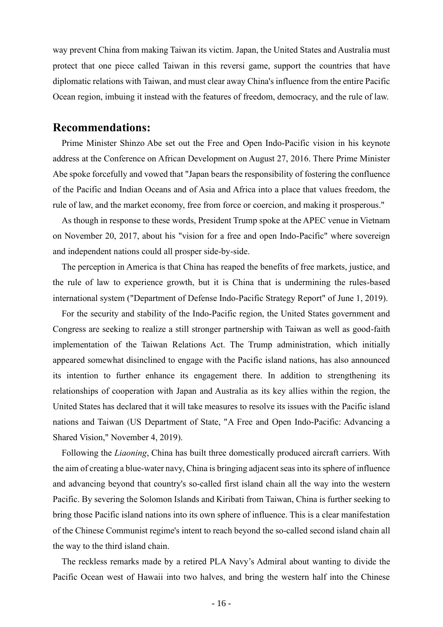way prevent China from making Taiwan its victim. Japan, the United States and Australia must protect that one piece called Taiwan in this reversi game, support the countries that have diplomatic relations with Taiwan, and must clear away China's influence from the entire Pacific Ocean region, imbuing it instead with the features of freedom, democracy, and the rule of law.

### **Recommendations:**

Prime Minister Shinzo Abe set out the Free and Open Indo-Pacific vision in his keynote address at the Conference on African Development on August 27, 2016. There Prime Minister Abe spoke forcefully and vowed that "Japan bears the responsibility of fostering the confluence of the Pacific and Indian Oceans and of Asia and Africa into a place that values freedom, the rule of law, and the market economy, free from force or coercion, and making it prosperous."

As though in response to these words, President Trump spoke at the APEC venue in Vietnam on November 20, 2017, about his "vision for a free and open Indo-Pacific" where sovereign and independent nations could all prosper side-by-side.

The perception in America is that China has reaped the benefits of free markets, justice, and the rule of law to experience growth, but it is China that is undermining the rules-based international system ("Department of Defense Indo-Pacific Strategy Report" of June 1, 2019).

For the security and stability of the Indo-Pacific region, the United States government and Congress are seeking to realize a still stronger partnership with Taiwan as well as good-faith implementation of the Taiwan Relations Act. The Trump administration, which initially appeared somewhat disinclined to engage with the Pacific island nations, has also announced its intention to further enhance its engagement there. In addition to strengthening its relationships of cooperation with Japan and Australia as its key allies within the region, the United States has declared that it will take measures to resolve its issues with the Pacific island nations and Taiwan (US Department of State, "A Free and Open Indo-Pacific: Advancing a Shared Vision," November 4, 2019).

Following the *Liaoning*, China has built three domestically produced aircraft carriers. With the aim of creating a blue-water navy, China is bringing adjacent seas into its sphere of influence and advancing beyond that country's so-called first island chain all the way into the western Pacific. By severing the Solomon Islands and Kiribati from Taiwan, China is further seeking to bring those Pacific island nations into its own sphere of influence. This is a clear manifestation of the Chinese Communist regime's intent to reach beyond the so-called second island chain all the way to the third island chain.

The reckless remarks made by a retired PLA Navy's Admiral about wanting to divide the Pacific Ocean west of Hawaii into two halves, and bring the western half into the Chinese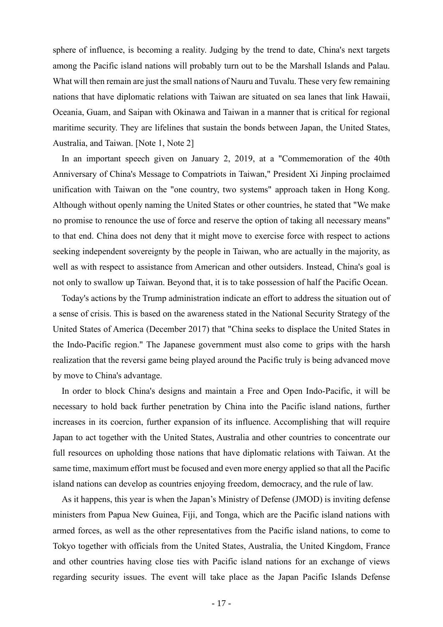sphere of influence, is becoming a reality. Judging by the trend to date, China's next targets among the Pacific island nations will probably turn out to be the Marshall Islands and Palau. What will then remain are just the small nations of Nauru and Tuvalu. These very few remaining nations that have diplomatic relations with Taiwan are situated on sea lanes that link Hawaii, Oceania, Guam, and Saipan with Okinawa and Taiwan in a manner that is critical for regional maritime security. They are lifelines that sustain the bonds between Japan, the United States, Australia, and Taiwan. [Note 1, Note 2]

In an important speech given on January 2, 2019, at a "Commemoration of the 40th Anniversary of China's Message to Compatriots in Taiwan," President Xi Jinping proclaimed unification with Taiwan on the "one country, two systems" approach taken in Hong Kong. Although without openly naming the United States or other countries, he stated that "We make no promise to renounce the use of force and reserve the option of taking all necessary means" to that end. China does not deny that it might move to exercise force with respect to actions seeking independent sovereignty by the people in Taiwan, who are actually in the majority, as well as with respect to assistance from American and other outsiders. Instead, China's goal is not only to swallow up Taiwan. Beyond that, it is to take possession of half the Pacific Ocean.

Today's actions by the Trump administration indicate an effort to address the situation out of a sense of crisis. This is based on the awareness stated in the National Security Strategy of the United States of America (December 2017) that "China seeks to displace the United States in the Indo-Pacific region." The Japanese government must also come to grips with the harsh realization that the reversi game being played around the Pacific truly is being advanced move by move to China's advantage.

In order to block China's designs and maintain a Free and Open Indo-Pacific, it will be necessary to hold back further penetration by China into the Pacific island nations, further increases in its coercion, further expansion of its influence. Accomplishing that will require Japan to act together with the United States, Australia and other countries to concentrate our full resources on upholding those nations that have diplomatic relations with Taiwan. At the same time, maximum effort must be focused and even more energy applied so that all the Pacific island nations can develop as countries enjoying freedom, democracy, and the rule of law.

As it happens, this year is when the Japan's Ministry of Defense (JMOD) is inviting defense ministers from Papua New Guinea, Fiji, and Tonga, which are the Pacific island nations with armed forces, as well as the other representatives from the Pacific island nations, to come to Tokyo together with officials from the United States, Australia, the United Kingdom, France and other countries having close ties with Pacific island nations for an exchange of views regarding security issues. The event will take place as the Japan Pacific Islands Defense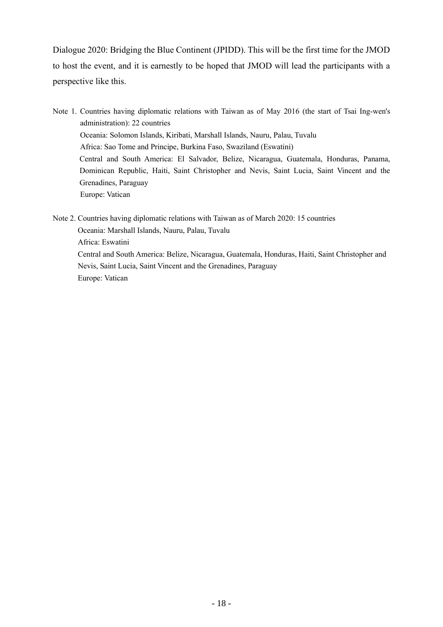Dialogue 2020: Bridging the Blue Continent (JPIDD). This will be the first time for the JMOD to host the event, and it is earnestly to be hoped that JMOD will lead the participants with a perspective like this.

Note 1. Countries having diplomatic relations with Taiwan as of May 2016 (the start of Tsai Ing-wen's administration): 22 countries Oceania: Solomon Islands, Kiribati, Marshall Islands, Nauru, Palau, Tuvalu Africa: Sao Tome and Principe, Burkina Faso, Swaziland (Eswatini) Central and South America: El Salvador, Belize, Nicaragua, Guatemala, Honduras, Panama, Dominican Republic, Haiti, Saint Christopher and Nevis, Saint Lucia, Saint Vincent and the Grenadines, Paraguay Europe: Vatican

Note 2. Countries having diplomatic relations with Taiwan as of March 2020: 15 countries Oceania: Marshall Islands, Nauru, Palau, Tuvalu Africa: Eswatini Central and South America: Belize, Nicaragua, Guatemala, Honduras, Haiti, Saint Christopher and Nevis, Saint Lucia, Saint Vincent and the Grenadines, Paraguay Europe: Vatican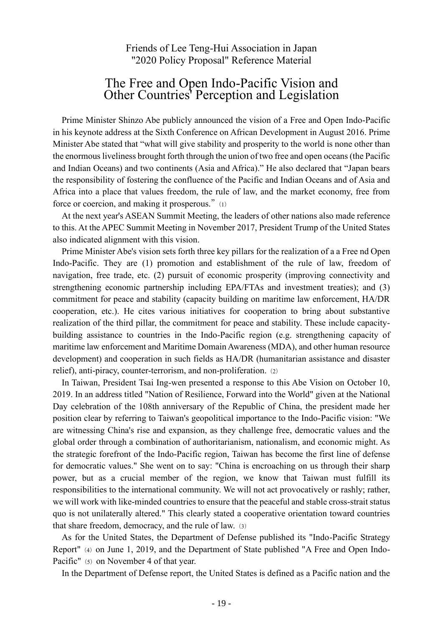Friends of Lee Teng-Hui Association in Japan "2020 Policy Proposal" Reference Material

## The Free and Open Indo-Pacific Vision and Other Countries' Perception and Legislation

Prime Minister Shinzo Abe publicly announced the vision of a Free and Open Indo-Pacific in his keynote address at the Sixth Conference on African Development in August 2016. Prime Minister Abe stated that "what will give stability and prosperity to the world is none other than the enormous liveliness brought forth through the union of two free and open oceans (the Pacific and Indian Oceans) and two continents (Asia and Africa)." He also declared that "Japan bears the responsibility of fostering the confluence of the Pacific and Indian Oceans and of Asia and Africa into a place that values freedom, the rule of law, and the market economy, free from force or coercion, and making it prosperous." (1)

At the next year's ASEAN Summit Meeting, the leaders of other nations also made reference to this. At the APEC Summit Meeting in November 2017, President Trump of the United States also indicated alignment with this vision.

Prime Minister Abe's vision sets forth three key pillars for the realization of a a Free nd Open Indo-Pacific. They are (1) promotion and establishment of the rule of law, freedom of navigation, free trade, etc. (2) pursuit of economic prosperity (improving connectivity and strengthening economic partnership including EPA/FTAs and investment treaties); and (3) commitment for peace and stability (capacity building on maritime law enforcement, HA/DR cooperation, etc.). He cites various initiatives for cooperation to bring about substantive realization of the third pillar, the commitment for peace and stability. These include capacitybuilding assistance to countries in the Indo-Pacific region (e.g. strengthening capacity of maritime law enforcement and Maritime Domain Awareness (MDA), and other human resource development) and cooperation in such fields as HA/DR (humanitarian assistance and disaster relief), anti-piracy, counter-terrorism, and non-proliferation. (2)

In Taiwan, President Tsai Ing-wen presented a response to this Abe Vision on October 10, 2019. In an address titled "Nation of Resilience, Forward into the World" given at the National Day celebration of the 108th anniversary of the Republic of China, the president made her position clear by referring to Taiwan's geopolitical importance to the Indo-Pacific vision: "We are witnessing China's rise and expansion, as they challenge free, democratic values and the global order through a combination of authoritarianism, nationalism, and economic might. As the strategic forefront of the Indo-Pacific region, Taiwan has become the first line of defense for democratic values." She went on to say: "China is encroaching on us through their sharp power, but as a crucial member of the region, we know that Taiwan must fulfill its responsibilities to the international community. We will not act provocatively or rashly; rather, we will work with like-minded countries to ensure that the peaceful and stable cross-strait status quo is not unilaterally altered." This clearly stated a cooperative orientation toward countries that share freedom, democracy, and the rule of law.(3)

As for the United States, the Department of Defense published its "Indo-Pacific Strategy Report" (4) on June 1, 2019, and the Department of State published "A Free and Open Indo-Pacific" (5) on November 4 of that year.

In the Department of Defense report, the United States is defined as a Pacific nation and the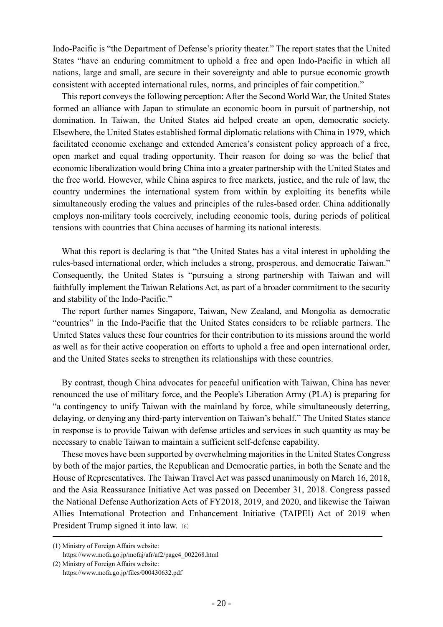Indo-Pacific is "the Department of Defense's priority theater." The report states that the United States "have an enduring commitment to uphold a free and open Indo-Pacific in which all nations, large and small, are secure in their sovereignty and able to pursue economic growth consistent with accepted international rules, norms, and principles of fair competition."

This report conveys the following perception: After the Second World War, the United States formed an alliance with Japan to stimulate an economic boom in pursuit of partnership, not domination. In Taiwan, the United States aid helped create an open, democratic society. Elsewhere, the United States established formal diplomatic relations with China in 1979, which facilitated economic exchange and extended America's consistent policy approach of a free, open market and equal trading opportunity. Their reason for doing so was the belief that economic liberalization would bring China into a greater partnership with the United States and the free world. However, while China aspires to free markets, justice, and the rule of law, the country undermines the international system from within by exploiting its benefits while simultaneously eroding the values and principles of the rules-based order. China additionally employs non-military tools coercively, including economic tools, during periods of political tensions with countries that China accuses of harming its national interests.

What this report is declaring is that "the United States has a vital interest in upholding the rules-based international order, which includes a strong, prosperous, and democratic Taiwan." Consequently, the United States is "pursuing a strong partnership with Taiwan and will faithfully implement the Taiwan Relations Act, as part of a broader commitment to the security and stability of the Indo-Pacific."

The report further names Singapore, Taiwan, New Zealand, and Mongolia as democratic "countries" in the Indo-Pacific that the United States considers to be reliable partners. The United States values these four countries for their contribution to its missions around the world as well as for their active cooperation on efforts to uphold a free and open international order, and the United States seeks to strengthen its relationships with these countries.

By contrast, though China advocates for peaceful unification with Taiwan, China has never renounced the use of military force, and the People's Liberation Army (PLA) is preparing for "a contingency to unify Taiwan with the mainland by force, while simultaneously deterring, delaying, or denying any third-party intervention on Taiwan's behalf." The United States stance in response is to provide Taiwan with defense articles and services in such quantity as may be necessary to enable Taiwan to maintain a sufficient self-defense capability.

These moves have been supported by overwhelming majorities in the United States Congress by both of the major parties, the Republican and Democratic parties, in both the Senate and the House of Representatives. The Taiwan Travel Act was passed unanimously on March 16, 2018, and the Asia Reassurance Initiative Act was passed on December 31, 2018. Congress passed the National Defense Authorization Acts of FY2018, 2019, and 2020, and likewise the Taiwan Allies International Protection and Enhancement Initiative (TAIPEI) Act of 2019 when President Trump signed it into law. (6)

――――――――――――――――――――――――――――――――――――――――――

<sup>(1)</sup> Ministry of Foreign Affairs website:

https://www.mofa.go.jp/mofaj/afr/af2/page4\_002268.html

<sup>(2)</sup> Ministry of Foreign Affairs website: https://www.mofa.go.jp/files/000430632.pdf